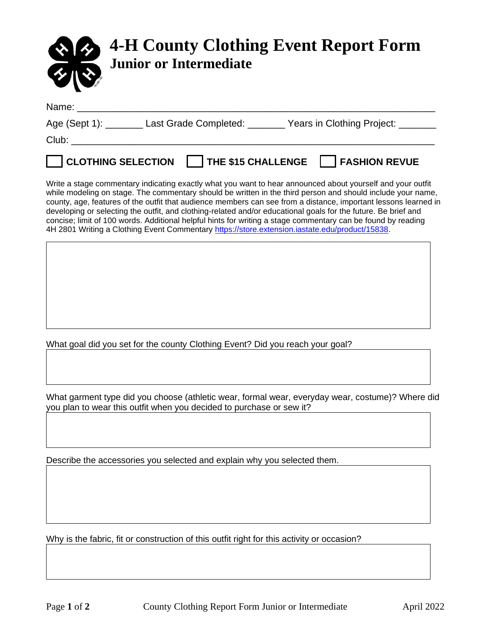

| Name:                     |                       |                           |                            |
|---------------------------|-----------------------|---------------------------|----------------------------|
| Age (Sept 1):             | Last Grade Completed: |                           | Years in Clothing Project: |
| Club:                     |                       |                           |                            |
| <b>CLOTHING SELECTION</b> |                       | <b>THE \$15 CHALLENGE</b> | <b>FASHION REVUE</b>       |

Write a stage commentary indicating exactly what you want to hear announced about yourself and your outfit while modeling on stage. The commentary should be written in the third person and should include your name, county, age, features of the outfit that audience members can see from a distance, important lessons learned in developing or selecting the outfit, and clothing-related and/or educational goals for the future. Be brief and concise; limit of 100 words. Additional helpful hints for writing a stage commentary can be found by reading 4H 2801 Writing a Clothing Event Commentary [https://store.extension.iastate.edu/product/15838.](https://store.extension.iastate.edu/product/15838)

What goal did you set for the county Clothing Event? Did you reach your goal?

What garment type did you choose (athletic wear, formal wear, everyday wear, costume)? Where did you plan to wear this outfit when you decided to purchase or sew it?

Describe the accessories you selected and explain why you selected them.

Why is the fabric, fit or construction of this outfit right for this activity or occasion?